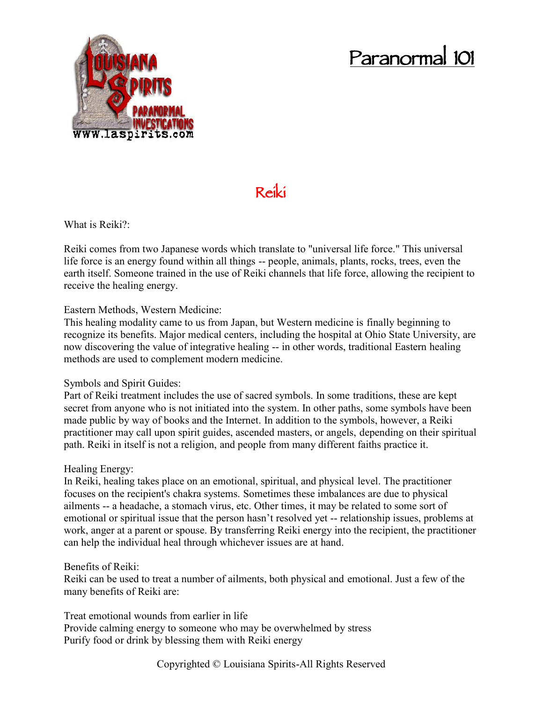# **Paranormal 101**



# **Reiki**

What is Reiki?:

Reiki comes from two Japanese words which translate to "universal life force." This universal life force is an energy found within all things -- people, animals, plants, rocks, trees, even the earth itself. Someone trained in the use of Reiki channels that life force, allowing the recipient to receive the healing energy.

#### Eastern Methods, Western Medicine:

This healing modality came to us from Japan, but Western medicine is finally beginning to recognize its benefits. Major medical centers, including the hospital at Ohio State University, are now discovering the value of integrative healing -- in other words, traditional Eastern healing methods are used to complement modern medicine.

## Symbols and Spirit Guides:

Part of Reiki treatment includes the use of sacred symbols. In some traditions, these are kept secret from anyone who is not initiated into the system. In other paths, some symbols have been made public by way of books and the Internet. In addition to the symbols, however, a Reiki practitioner may call upon spirit guides, ascended masters, or angels, depending on their spiritual path. Reiki in itself is not a religion, and people from many different faiths practice it.

## Healing Energy:

In Reiki, healing takes place on an emotional, spiritual, and physical level. The practitioner focuses on the recipient's chakra systems. Sometimes these imbalances are due to physical ailments -- a headache, a stomach virus, etc. Other times, it may be related to some sort of emotional or spiritual issue that the person hasn't resolved yet -- relationship issues, problems at work, anger at a parent or spouse. By transferring Reiki energy into the recipient, the practitioner can help the individual heal through whichever issues are at hand.

#### Benefits of Reiki:

Reiki can be used to treat a number of ailments, both physical and emotional. Just a few of the many benefits of Reiki are:

Treat emotional wounds from earlier in life Provide calming energy to someone who may be overwhelmed by stress Purify food or drink by blessing them with Reiki energy